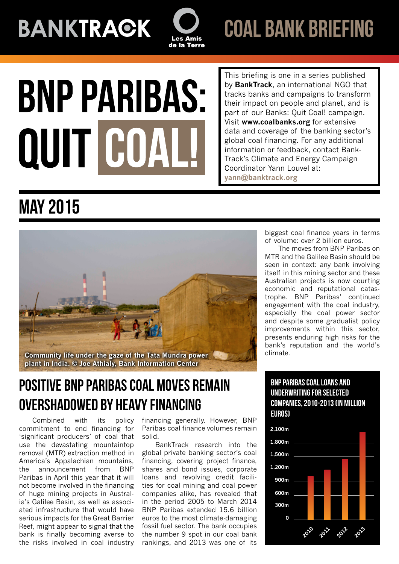**BANKTRAGK** 



coal bank briefing

# **BNP PARIBAS:** QUIT COA

This briefing is one in a series published by **BankTrack**, an international NGO that tracks banks and campaigns to transform their impact on people and planet, and is part of our Banks: Quit Coal! campaign. Visit **[www.coalbanks.org](http://www.coalbanks.org/)** for extensive data and coverage of the banking sector's global coal financing. For any additional information or feedback, contact Bank-Track's Climate and Energy Campaign Coordinator Yann Louvel at: **yann@banktrack.org**

# May 2015



## Positive BNP Paribas coal moves remain overshadowed by heavy financing

Combined with its policy commitment to end financing for 'significant producers' of coal that use the devastating mountaintop removal (MTR) extraction method in America's Appalachian mountains, the announcement from BNP Paribas in April this year that it will not become involved in the financing of huge mining projects in Australia's Galilee Basin, as well as associated infrastructure that would have serious impacts for the Great Barrier Reef, might appear to signal that the bank is finally becoming averse to the risks involved in coal industry

financing generally. However, BNP Paribas coal finance volumes remain solid.

BankTrack research into the global private banking sector's coal financing, covering project finance, shares and bond issues, corporate loans and revolving credit facilities for coal mining and coal power companies alike, has revealed that in the period 2005 to March 2014 BNP Paribas extended 15.6 billion euros to the most climate-damaging fossil fuel sector. The bank occupies the number 9 spot in our coal bank rankings, and 2013 was one of its

biggest coal finance years in terms of volume: over 2 billion euros.

The moves from BNP Paribas on MTR and the Galilee Basin should be seen in context: any bank involving itself in this mining sector and these Australian projects is now courting economic and reputational catastrophe. BNP Paribas' continued engagement with the coal industry, especially the coal power sector and despite some gradualist policy improvements within this sector, presents enduring high risks for the bank's reputation and the world's climate.

#### bnpparibas coal loans and underwriting for selected companies, 2010-2013 (in million euros)

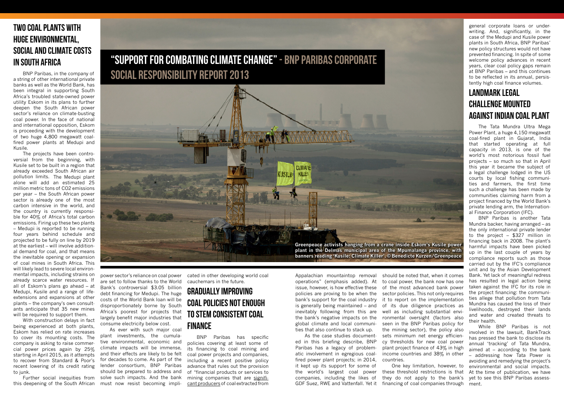Appalachian mountaintop removal operations" (emphasis added). At issue, however, is how effective these policies are proving to be when the bank's support for the coal industry is generally being maintained – and inevitably following from this are the bank's negative impacts on the global climate and local communities that also continue to stack up.

As the case studies documented in this briefing describe, BNP Paribas has a legacy of problematic involvement in egregious coalfired power plant projects; in 2014, it kept up its support for some of the world's largest coal power companies, including the likes of GDF Suez, RWE and Vattenfall. Yet it

should be noted that, when it comes to coal power, the bank now has one of the most advanced bank power sector policies. This not only requires it to report on the implementation of its due diligence practices as well as including substantial environmental oversight (factors also seen in the BNP Paribas policy for the mining sector), the policy also sets minimum net energy efficiency thresholds for new coal power plant project finance of 43% in high income countries and 38% in other countries.

One key limitation, however, to these threshold restrictions is that they do not apply to the bank's financing of coal companies through

## Two coal plants with huge environmental, social and climate costs in South Africa

BNP Paribas, in the company of a string of other international private banks as well as the World Bank, has been integral in supporting South Africa's troubled state-owned power utility Eskom in its plans to further deepen the South African power sector's reliance on climate-busting coal power. In the face of national and international opposition, Eskom is proceeding with the development of two huge 4,800 megawatt coalfired power plants at Medupi and Kusile.

The projects have been controversial from the beginning, with Kusile set to be built in a region that already exceeded South African air pollution limits. The Medupi plant alone will add an estimated 25 million metric tons of CO2 emissions per year – the South African power sector is already one of the most carbon intensive in the world, and the country is currently responsible for 40% of Africa's total carbon emissions. Firing up these two plants – Medupi is reported to be running four years behind schedule and projected to be fully on line by 2019 at the earliest – will involve additional demand for coal, and that means the inevitable opening or expansion of coal mines in South Africa. This will likely lead to severe local environmental impacts, including strains on already scarce water resources. If all of Eskom's plans go ahead – at Medupi, Kusile and a range of lifeextensions and expansions at other plants – the company's own consultants anticipate that 35 new mines will be required to support them.

With construction delays in fact being experienced at both plants, Eskom has relied on rate increases to cover its mounting costs. The company is asking to raise commercial power prices again by 25% starting in April 2015, as it attempts to recover from Standard & Poor's recent lowering of its credit rating to junk.

Further social inequities from this deepening of the South African

power sector's reliance on coal power are set to follow thanks to the World Bank's controversial \$3.05 billion debt financing for Medupi. The huge costs of the World Bank loan will be disproportionately borne by South Africa's poorest for projects that largely benefit major industries that consume electricity below cost.

As ever with such major coal plant investments, the cumulative environmental, economic and climate impacts will be immense, and their effects are likely to be felt for decades to come. As part of the lender consortium, BNP Paribas should be prepared to address and solve such impacts. And the bank must now resist becoming impli-

cated in other developing world coal cauchemars in the future.

## Gradually improving coal policies not enough to stem consistent coal finance

BNP Paribas has specific policies covering at least some of its financing to coal mining and coal power projects and companies, including a recent positive policy advance that rules out the provision of "financial products or services to mining companies that are significant producersof coal extracted from

## "Support for combating climate change" - BNP Paribas Corporate Social Responsibility Report 2013

general corporate loans or underwriting. And, significantly, in the case of the Medupi and Kusile power plants in South Africa, BNP Paribas' new policy structures would not have prevented financing. In spite of some welcome policy advances in recent years, clear coal policy gaps remain at BNP Paribas – and this continues to be reflected in its annual, persistently high coal finance volumes.

## Landmark legal challenge mounted against Indian coal plant

The [Tata Mundra Ultra Mega](http://coalbanks.org/dodgydeal#tata_mundra_ultra_mega_power_plant_umpp_) [Power Plant,](http://coalbanks.org/dodgydeal#tata_mundra_ultra_mega_power_plant_umpp_) a huge 4,150 megawatt coal-fired plant in Gujarat, India that started operating at full capacity in 2013, is one of the world's most notorious fossil fuel projects – so much so that in April this year it became the subject of a legal challenge lodged in the US courts by local fishing communities and farmers, the first time such a challenge has been made by communities claiming harm from a project financed by the World Bank's private lending arm, the International Finance Corporation (IFC).

BNP Paribas is another Tata Mundra backer, having arranged – as the only international private lender to the project – \$327 million in financing back in 2008. The plant's harmful impacts have been picked up in the last couple of years by compliance reports such as those carried out by the IFC's compliance unit and by the Asian Development Bank. Yet lack of meaningful redress has resulted in legal action being taken against the IFC for its role in the project financing: the communities allege that pollution from Tata Mundra has caused the loss of their livelihoods, destroyed their lands and water and created threats to their health.

While BNP Paribas is not involved in the lawsuit, BankTrack has pressed the bank to disclose its annual 'tracking' of Tata Mundra, aimed at – according to the bank – addressing how Tata Power is avoiding and remedying the project's environmental and social impacts. At the time of publication, we have yet to see this BNP Paribas assessment.